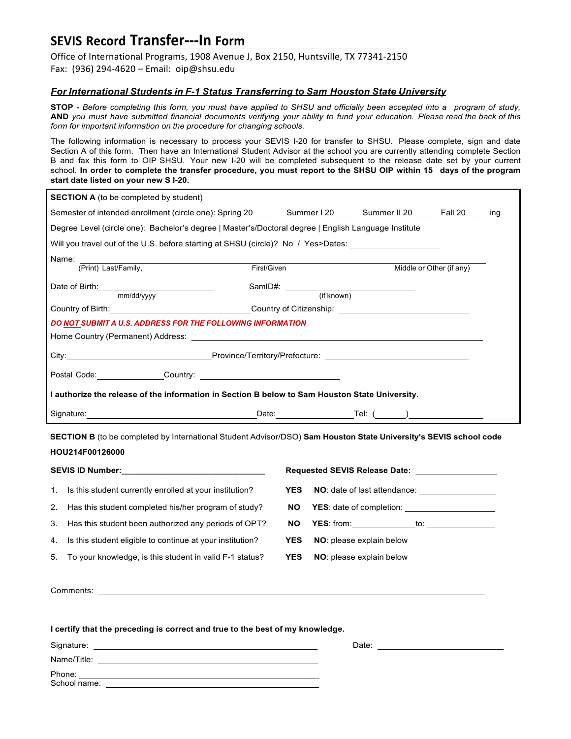## **SEVIS Record Transfer---In Form**

Office of International Programs, 1908 Avenue J, Box 2150, Huntsville, TX 77341-2150 Fax: (936) 294-4620 – Email:  $\text{oip}\textcircled{a}$ shsu.edu

## *For International Students in F-1 Status Transferring to Sam Houston State University*

STOP - Before completing this form, you must have applied to SHSU and officially been accepted into a program of study, AND you must have submitted financial documents verifying your ability to fund your education. Please read the back of this *form for important information on the procedure for changing schools.*

The following information is necessary to process your SEVIS I-20 for transfer to SHSU. Please complete, sign and date Section A of this form. Then have an International Student Advisor at the school you are currently attending complete Section B and fax this form to OIP SHSU. Your new I-20 will be completed subsequent to the release date set by your current school. In order to complete the transfer procedure, you must report to the SHSU OIP within 15 days of the program **start date listed on your new S I-20.**

|                                                                                                      | <b>SECTION A</b> (to be completed by student)                                                                                                                                                                                        |            |  |                                                         |                          |  |  |  |  |  |  |  |
|------------------------------------------------------------------------------------------------------|--------------------------------------------------------------------------------------------------------------------------------------------------------------------------------------------------------------------------------------|------------|--|---------------------------------------------------------|--------------------------|--|--|--|--|--|--|--|
|                                                                                                      | Semester of intended enrollment (circle one): Spring 20 Summer I 20 Summer II 20 Fall 20 ing                                                                                                                                         |            |  |                                                         |                          |  |  |  |  |  |  |  |
| Degree Level (circle one): Bachelor's degree   Master's/Doctoral degree   English Language Institute |                                                                                                                                                                                                                                      |            |  |                                                         |                          |  |  |  |  |  |  |  |
| Will you travel out of the U.S. before starting at SHSU (circle)? No / Yes>Dates:                    |                                                                                                                                                                                                                                      |            |  |                                                         |                          |  |  |  |  |  |  |  |
|                                                                                                      | Name:                                                                                                                                                                                                                                |            |  |                                                         |                          |  |  |  |  |  |  |  |
|                                                                                                      | (Print) Last/Family,<br>First/Given                                                                                                                                                                                                  |            |  |                                                         | Middle or Other (if any) |  |  |  |  |  |  |  |
|                                                                                                      | Date of Birth: <u>contained</u><br>mm/dd/yyyy                                                                                                                                                                                        |            |  | SamID#: (if known)                                      |                          |  |  |  |  |  |  |  |
|                                                                                                      |                                                                                                                                                                                                                                      |            |  |                                                         |                          |  |  |  |  |  |  |  |
| Country of Birth: <u>Country of Citizenship:</u>                                                     |                                                                                                                                                                                                                                      |            |  |                                                         |                          |  |  |  |  |  |  |  |
| DO NOT SUBMIT A U.S. ADDRESS FOR THE FOLLOWING INFORMATION                                           |                                                                                                                                                                                                                                      |            |  |                                                         |                          |  |  |  |  |  |  |  |
|                                                                                                      |                                                                                                                                                                                                                                      |            |  |                                                         |                          |  |  |  |  |  |  |  |
|                                                                                                      |                                                                                                                                                                                                                                      |            |  |                                                         |                          |  |  |  |  |  |  |  |
|                                                                                                      |                                                                                                                                                                                                                                      |            |  |                                                         |                          |  |  |  |  |  |  |  |
| I authorize the release of the information in Section B below to Sam Houston State University.       |                                                                                                                                                                                                                                      |            |  |                                                         |                          |  |  |  |  |  |  |  |
|                                                                                                      | Signature: <u>contract and contract and contract and contract and contract and contract and contract and contract and contract and contract and contract and contract and contract and contract and contract and contract and co</u> |            |  |                                                         |                          |  |  |  |  |  |  |  |
|                                                                                                      | SECTION B (to be completed by International Student Advisor/DSO) Sam Houston State University's SEVIS school code                                                                                                                    |            |  |                                                         |                          |  |  |  |  |  |  |  |
|                                                                                                      | HOU214F00126000                                                                                                                                                                                                                      |            |  |                                                         |                          |  |  |  |  |  |  |  |
|                                                                                                      |                                                                                                                                                                                                                                      |            |  |                                                         |                          |  |  |  |  |  |  |  |
| 1.                                                                                                   | Is this student currently enrolled at your institution?                                                                                                                                                                              | <b>YES</b> |  |                                                         |                          |  |  |  |  |  |  |  |
| 2.                                                                                                   | Has this student completed his/her program of study?                                                                                                                                                                                 | <b>NO</b>  |  |                                                         |                          |  |  |  |  |  |  |  |
| 3.                                                                                                   | Has this student been authorized any periods of OPT?                                                                                                                                                                                 | <b>NO</b>  |  | <b>YES</b> : from: ________________to: ________________ |                          |  |  |  |  |  |  |  |
| 4.                                                                                                   | Is this student eligible to continue at your institution?                                                                                                                                                                            | <b>YES</b> |  | NO: please explain below                                |                          |  |  |  |  |  |  |  |
| 5.                                                                                                   | To your knowledge, is this student in valid F-1 status?                                                                                                                                                                              | <b>YES</b> |  | NO: please explain below                                |                          |  |  |  |  |  |  |  |
|                                                                                                      |                                                                                                                                                                                                                                      |            |  |                                                         |                          |  |  |  |  |  |  |  |
|                                                                                                      |                                                                                                                                                                                                                                      |            |  |                                                         |                          |  |  |  |  |  |  |  |
|                                                                                                      |                                                                                                                                                                                                                                      |            |  |                                                         |                          |  |  |  |  |  |  |  |
|                                                                                                      |                                                                                                                                                                                                                                      |            |  |                                                         |                          |  |  |  |  |  |  |  |

|              | . . |  | . . |       |
|--------------|-----|--|-----|-------|
| Signature:   |     |  |     | Date: |
| Name/Title:  |     |  |     |       |
| Phone:       |     |  |     |       |
| School name: |     |  |     |       |